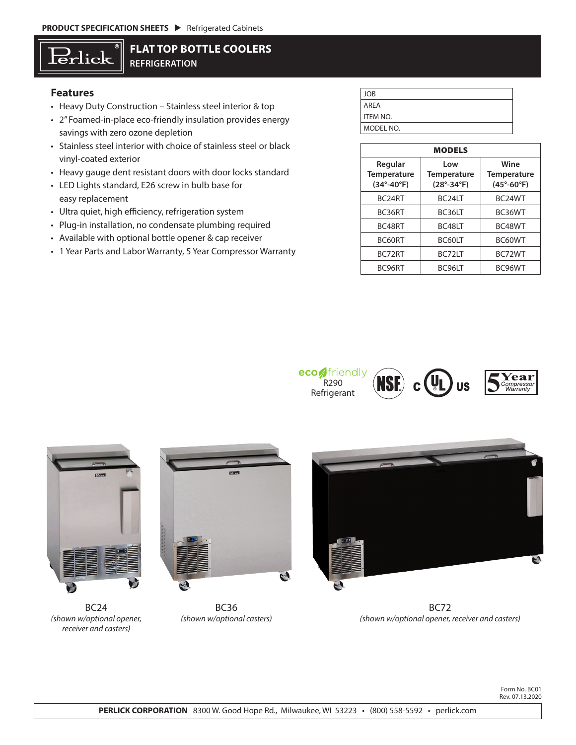# Erlick

## **FLAT TOP BOTTLE COOLERS REFRIGERATION**

### **Features**

- Heavy Duty Construction Stainless steel interior & top
- 2" Foamed-in-place eco-friendly insulation provides energy savings with zero ozone depletion
- Stainless steel interior with choice of stainless steel or black vinyl-coated exterior
- Heavy gauge dent resistant doors with door locks standard
- LED Lights standard, E26 screw in bulb base for easy replacement
- Ultra quiet, high efficiency, refrigeration system
- Plug-in installation, no condensate plumbing required
- Available with optional bottle opener & cap receiver
- 1 Year Parts and Labor Warranty, 5 Year Compressor Warranty

| <b>JOB</b> |
|------------|
| AREA       |
| ITEM NO.   |
| MODEL NO.  |

| <b>MODELS</b>                                               |                                           |                                                     |  |  |  |  |  |  |
|-------------------------------------------------------------|-------------------------------------------|-----------------------------------------------------|--|--|--|--|--|--|
| Regular<br><b>Temperature</b><br>$(34^{\circ}-40^{\circ}F)$ | Low<br><b>Temperature</b><br>$(28°-34°F)$ | Wine<br>Temperature<br>$(45^{\circ} - 60^{\circ}F)$ |  |  |  |  |  |  |
| BC24RT                                                      | BC <sub>24LT</sub>                        | BC <sub>24</sub> WT                                 |  |  |  |  |  |  |
| BC36RT                                                      | BC36LT                                    | BC36WT                                              |  |  |  |  |  |  |
| BC48RT                                                      | BC48LT                                    | BC48WT                                              |  |  |  |  |  |  |
| BC60RT                                                      | BC60LT                                    | BC60WT                                              |  |  |  |  |  |  |
| BC72RT                                                      | BC <sub>7</sub> 21T                       | BC72WT                                              |  |  |  |  |  |  |
| BC96RT                                                      | BC96LT                                    | BC96WT                                              |  |  |  |  |  |  |









BC24 *(shown w/optional opener, receiver and casters)*



BC36 *(shown w/optional casters)*



BC72 *(shown w/optional opener, receiver and casters)*

Form No. BC01 Rev. 07.13.2020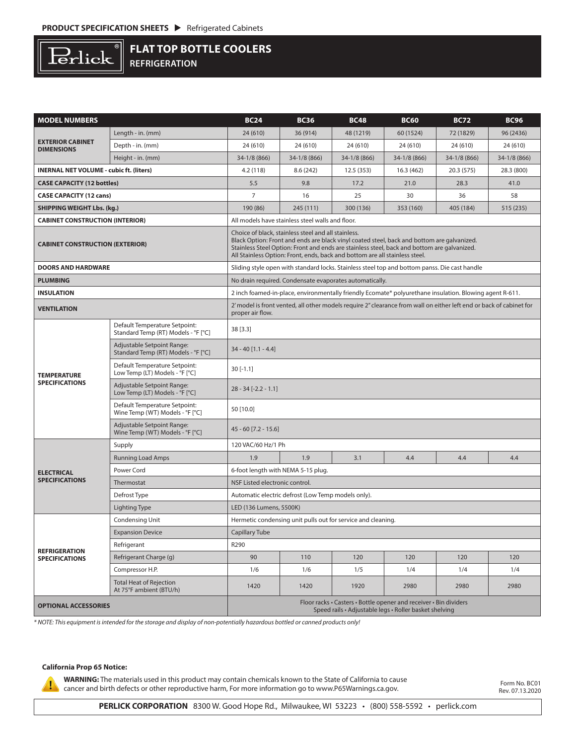

**FLAT TOP BOTTLE COOLERS REFRIGERATION**

| <b>MODEL NUMBERS</b>                           |                                                                                               | <b>BC24</b>                                                                                                                                                                                                                                                                                                                     | <b>BC36</b>  | <b>BC48</b>  | <b>BC60</b>  | <b>BC72</b>  | <b>BC96</b>  |  |  |
|------------------------------------------------|-----------------------------------------------------------------------------------------------|---------------------------------------------------------------------------------------------------------------------------------------------------------------------------------------------------------------------------------------------------------------------------------------------------------------------------------|--------------|--------------|--------------|--------------|--------------|--|--|
| <b>EXTERIOR CABINET</b><br><b>DIMENSIONS</b>   | Length - in. (mm)                                                                             | 24 (610)                                                                                                                                                                                                                                                                                                                        | 36 (914)     | 48 (1219)    | 60 (1524)    | 72 (1829)    | 96 (2436)    |  |  |
|                                                | Depth - in. (mm)                                                                              | 24 (610)                                                                                                                                                                                                                                                                                                                        | 24 (610)     | 24 (610)     | 24 (610)     | 24 (610)     | 24 (610)     |  |  |
|                                                | Height - in. (mm)                                                                             | 34-1/8 (866)                                                                                                                                                                                                                                                                                                                    | 34-1/8 (866) | 34-1/8 (866) | 34-1/8 (866) | 34-1/8 (866) | 34-1/8 (866) |  |  |
| <b>INERNAL NET VOLUME - cubic ft. (liters)</b> |                                                                                               | 4.2(118)                                                                                                                                                                                                                                                                                                                        | 8.6 (242)    | 12.5(353)    | 16.3(462)    | 20.3 (575)   | 28.3 (800)   |  |  |
| <b>CASE CAPACITY (12 bottles)</b>              |                                                                                               | 5.5                                                                                                                                                                                                                                                                                                                             | 9.8          | 17.2         | 21.0         | 28.3         | 41.0         |  |  |
| <b>CASE CAPACITY (12 cans)</b>                 |                                                                                               | $\overline{7}$                                                                                                                                                                                                                                                                                                                  | 16           | 25           | 30           | 36           | 58           |  |  |
| <b>SHIPPING WEIGHT Lbs. (kg.)</b>              |                                                                                               | 190 (86)                                                                                                                                                                                                                                                                                                                        | 245 (111)    | 300 (136)    | 353 (160)    | 405 (184)    | 515 (235)    |  |  |
| <b>CABINET CONSTRUCTION (INTERIOR)</b>         |                                                                                               | All models have stainless steel walls and floor.                                                                                                                                                                                                                                                                                |              |              |              |              |              |  |  |
| <b>CABINET CONSTRUCTION (EXTERIOR)</b>         |                                                                                               | Choice of black, stainless steel and all stainless.<br>Black Option: Front and ends are black vinyl coated steel, back and bottom are galvanized.<br>Stainless Steel Option: Front and ends are stainless steel, back and bottom are galvanized.<br>All Stainless Option: Front, ends, back and bottom are all stainless steel. |              |              |              |              |              |  |  |
| <b>DOORS AND HARDWARE</b>                      | Sliding style open with standard locks. Stainless steel top and bottom panss. Die cast handle |                                                                                                                                                                                                                                                                                                                                 |              |              |              |              |              |  |  |
| <b>PLUMBING</b>                                | No drain required. Condensate evaporates automatically.                                       |                                                                                                                                                                                                                                                                                                                                 |              |              |              |              |              |  |  |
| <b>INSULATION</b>                              |                                                                                               | 2 inch foamed-in-place, environmentally friendly Ecomate® polyurethane insulation. Blowing agent R-611.                                                                                                                                                                                                                         |              |              |              |              |              |  |  |
| <b>VENTILATION</b>                             |                                                                                               | 2' model is front vented, all other models require 2" clearance from wall on either left end or back of cabinet for<br>proper air flow.                                                                                                                                                                                         |              |              |              |              |              |  |  |
| <b>TEMPERATURE</b><br><b>SPECIFICATIONS</b>    | Default Temperature Setpoint:<br>Standard Temp (RT) Models - °F [°C]                          | 38 [3.3]                                                                                                                                                                                                                                                                                                                        |              |              |              |              |              |  |  |
|                                                | Adjustable Setpoint Range:<br>Standard Temp (RT) Models - °F [°C]                             | $34 - 40$ [1.1 - 4.4]                                                                                                                                                                                                                                                                                                           |              |              |              |              |              |  |  |
|                                                | Default Temperature Setpoint:<br>Low Temp (LT) Models - °F [°C]                               | $30[-1.1]$                                                                                                                                                                                                                                                                                                                      |              |              |              |              |              |  |  |
|                                                | Adjustable Setpoint Range:<br>Low Temp (LT) Models - °F [°C]                                  | $28 - 34$ [-2.2 - 1.1]                                                                                                                                                                                                                                                                                                          |              |              |              |              |              |  |  |
|                                                | Default Temperature Setpoint:<br>Wine Temp (WT) Models - °F [°C]                              | 50 [10.0]                                                                                                                                                                                                                                                                                                                       |              |              |              |              |              |  |  |
|                                                | Adjustable Setpoint Range:<br>Wine Temp (WT) Models - °F [°C]                                 | $45 - 60$ [7.2 - 15.6]                                                                                                                                                                                                                                                                                                          |              |              |              |              |              |  |  |
| <b>ELECTRICAL</b><br><b>SPECIFICATIONS</b>     | Supply                                                                                        | 120 VAC/60 Hz/1 Ph                                                                                                                                                                                                                                                                                                              |              |              |              |              |              |  |  |
|                                                | <b>Running Load Amps</b>                                                                      | 1.9                                                                                                                                                                                                                                                                                                                             | 1.9          | 3.1          | 4.4          | 4.4          | 4.4          |  |  |
|                                                | Power Cord                                                                                    | 6-foot length with NEMA 5-15 plug.                                                                                                                                                                                                                                                                                              |              |              |              |              |              |  |  |
|                                                | Thermostat                                                                                    | NSF Listed electronic control.                                                                                                                                                                                                                                                                                                  |              |              |              |              |              |  |  |
|                                                | Defrost Type                                                                                  | Automatic electric defrost (Low Temp models only).                                                                                                                                                                                                                                                                              |              |              |              |              |              |  |  |
|                                                | <b>Lighting Type</b>                                                                          | LED (136 Lumens, 5500K)                                                                                                                                                                                                                                                                                                         |              |              |              |              |              |  |  |
|                                                | Condensing Unit                                                                               | Hermetic condensing unit pulls out for service and cleaning.                                                                                                                                                                                                                                                                    |              |              |              |              |              |  |  |
| <b>REFRIGERATION</b><br><b>SPECIFICATIONS</b>  | <b>Expansion Device</b>                                                                       | Capillary Tube                                                                                                                                                                                                                                                                                                                  |              |              |              |              |              |  |  |
|                                                | Refrigerant                                                                                   | R290                                                                                                                                                                                                                                                                                                                            |              |              |              |              |              |  |  |
|                                                | Refrigerant Charge (g)                                                                        | 90                                                                                                                                                                                                                                                                                                                              | 110          | 120          | 120          | 120          | 120          |  |  |
|                                                | Compressor H.P.                                                                               | 1/6                                                                                                                                                                                                                                                                                                                             | 1/6          | 1/5          | 1/4          | 1/4          | 1/4          |  |  |
|                                                | <b>Total Heat of Rejection</b><br>At 75°F ambient (BTU/h)                                     | 1420                                                                                                                                                                                                                                                                                                                            | 1420         | 1920         | 2980         | 2980         | 2980         |  |  |
| <b>OPTIONAL ACCESSORIES</b>                    |                                                                                               | Floor racks • Casters • Bottle opener and receiver • Bin dividers<br>Speed rails · Adjustable legs · Roller basket shelving                                                                                                                                                                                                     |              |              |              |              |              |  |  |

*\* NOTE: This equipment is intended for the storage and display of non-potentially hazardous bottled or canned products only!*

#### **California Prop 65 Notice:**

Ţ

**WARNING:** The materials used in this product may contain chemicals known to the State of California to cause cancer and birth defects or other reproductive harm, For more information go to www.P65Warnings.ca.gov.

Form No. BC01 Rev. 07.13.2020